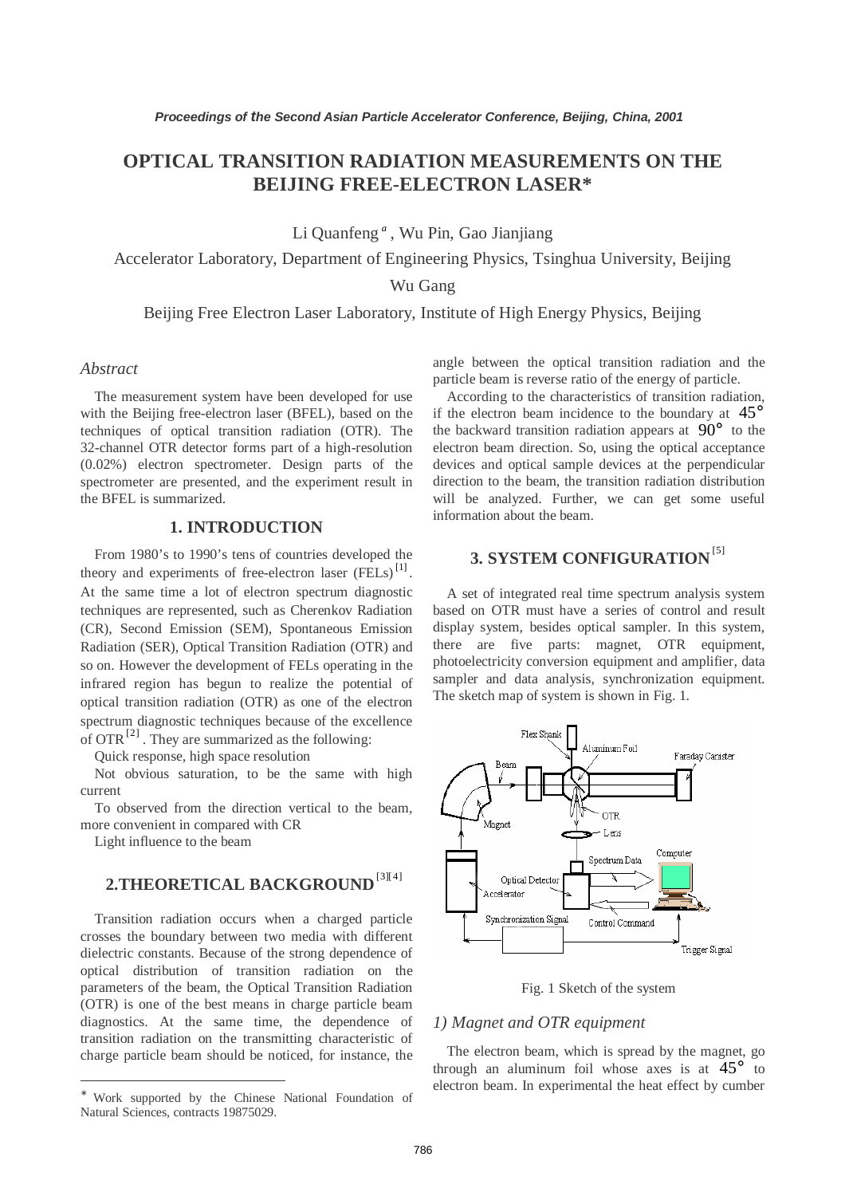## **OPTICAL TRANSITION RADIATION MEASUREMENTS ON THE BEIJING FREE-ELECTRON LASER\***

Li Quanfeng *<sup>a</sup>* , Wu Pin, Gao Jianjiang

Accelerator Laboratory, Department of Engineering Physics, Tsinghua University, Beijing

Wu Gang

Beijing Free Electron Laser Laboratory, Institute of High Energy Physics, Beijing

### *Abstract*

The measurement system have been developed for use with the Beijing free-electron laser (BFEL), based on the techniques of optical transition radiation (OTR). The 32-channel OTR detector forms part of a high-resolution (0.02%) electron spectrometer. Design parts of the spectrometer are presented, and the experiment result in the BFEL is summarized.

### **1. INTRODUCTION**

From 1980's to 1990's tens of countries developed the theory and experiments of free-electron laser  $(\overline{FELs})^{[1]}$ . At the same time a lot of electron spectrum diagnostic techniques are represented, such as Cherenkov Radiation (CR), Second Emission (SEM), Spontaneous Emission Radiation (SER), Optical Transition Radiation (OTR) and so on. However the development of FELs operating in the infrared region has begun to realize the potential of optical transition radiation (OTR) as one of the electron spectrum diagnostic techniques because of the excellence of OTR $^{[2]}$ . They are summarized as the following:

Quick response, high space resolution

Not obvious saturation, to be the same with high current

To observed from the direction vertical to the beam, more convenient in compared with CR

Light influence to the beam

 $\overline{a}$ 

# **2.THEORETICAL BACKGROUND**[3][4]

Transition radiation occurs when a charged particle crosses the boundary between two media with different dielectric constants. Because of the strong dependence of optical distribution of transition radiation on the parameters of the beam, the Optical Transition Radiation (OTR) is one of the best means in charge particle beam diagnostics. At the same time, the dependence of transition radiation on the transmitting characteristic of charge particle beam should be noticed, for instance, the angle between the optical transition radiation and the particle beam is reverse ratio of the energy of particle.

According to the characteristics of transition radiation, if the electron beam incidence to the boundary at  $45^{\circ}$ the backward transition radiation appears at  $90^{\circ}$  to the electron beam direction. So, using the optical acceptance devices and optical sample devices at the perpendicular direction to the beam, the transition radiation distribution will be analyzed. Further, we can get some useful information about the beam.

# **3. SYSTEM CONFIGURATION**<sup>[5]</sup>

A set of integrated real time spectrum analysis system based on OTR must have a series of control and result display system, besides optical sampler. In this system, there are five parts: magnet, OTR equipment, photoelectricity conversion equipment and amplifier, data sampler and data analysis, synchronization equipment. The sketch map of system is shown in Fig. 1.



Fig. 1 Sketch of the system

### *1) Magnet and OTR equipment*

The electron beam, which is spread by the magnet, go through an aluminum foil whose axes is at  $45^{\circ}$  to electron beam. In experimental the heat effect by cumber

<sup>∗</sup> Work supported by the Chinese National Foundation of Natural Sciences, contracts 19875029.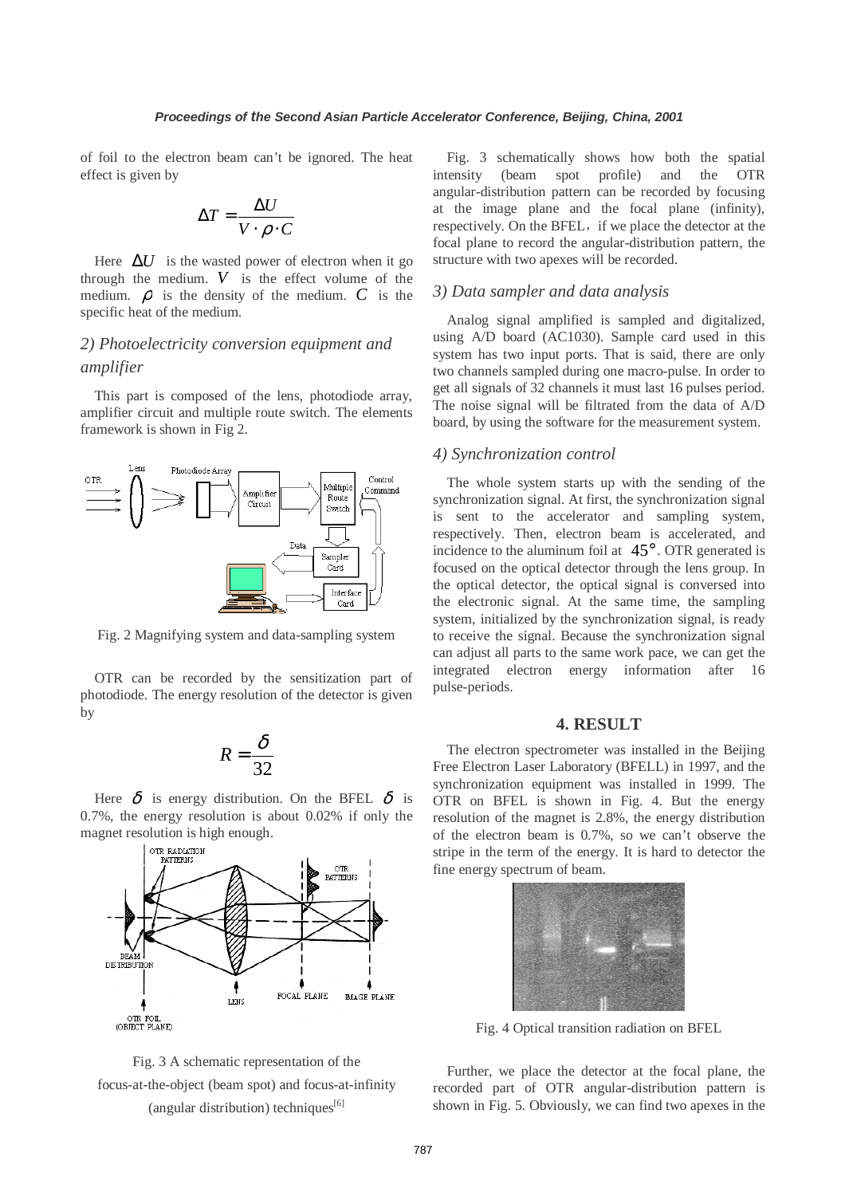of foil to the electron beam can't be ignored. The heat effect is given by

$$
\Delta T = \frac{\Delta U}{V \cdot \rho \cdot C}
$$

Here  $\Delta U$  is the wasted power of electron when it go through the medium.  $V$  is the effect volume of the medium.  $\rho$  is the density of the medium.  $C$  is the specific heat of the medium.

### *2) Photoelectricity conversion equipment and amplifier*

This part is composed of the lens, photodiode array, amplifier circuit and multiple route switch. The elements framework is shown in Fig 2.



Fig. 2 Magnifying system and data-sampling system

OTR can be recorded by the sensitization part of photodiode. The energy resolution of the detector is given by

$$
R = \frac{\delta}{32}
$$

Here  $\delta$  is energy distribution. On the BFEL  $\delta$  is 0.7%, the energy resolution is about 0.02% if only the magnet resolution is high enough.





Fig. 3 schematically shows how both the spatial intensity (beam spot profile) and the OTR angular-distribution pattern can be recorded by focusing at the image plane and the focal plane (infinity), respectively. On the BFEL, if we place the detector at the focal plane to record the angular-distribution pattern, the structure with two apexes will be recorded.

### *3) Data sampler and data analysis*

Analog signal amplified is sampled and digitalized, using A/D board (AC1030). Sample card used in this system has two input ports. That is said, there are only two channels sampled during one macro-pulse. In order to get all signals of 32 channels it must last 16 pulses period. The noise signal will be filtrated from the data of A/D board, by using the software for the measurement system.

### *4) Synchronization control*

The whole system starts up with the sending of the synchronization signal. At first, the synchronization signal is sent to the accelerator and sampling system, respectively. Then, electron beam is accelerated, and incidence to the aluminum foil at  $45^\circ$ . OTR generated is focused on the optical detector through the lens group. In the optical detector, the optical signal is conversed into the electronic signal. At the same time, the sampling system, initialized by the synchronization signal, is ready to receive the signal. Because the synchronization signal can adjust all parts to the same work pace, we can get the integrated electron energy information after 16 pulse-periods.

#### **4. RESULT**

The electron spectrometer was installed in the Beijing Free Electron Laser Laboratory (BFELL) in 1997, and the synchronization equipment was installed in 1999. The OTR on BFEL is shown in Fig. 4. But the energy resolution of the magnet is 2.8%, the energy distribution of the electron beam is 0.7%, so we can't observe the stripe in the term of the energy. It is hard to detector the fine energy spectrum of beam.



Fig. 4 Optical transition radiation on BFEL

Further, we place the detector at the focal plane, the recorded part of OTR angular-distribution pattern is shown in Fig. 5. Obviously, we can find two apexes in the